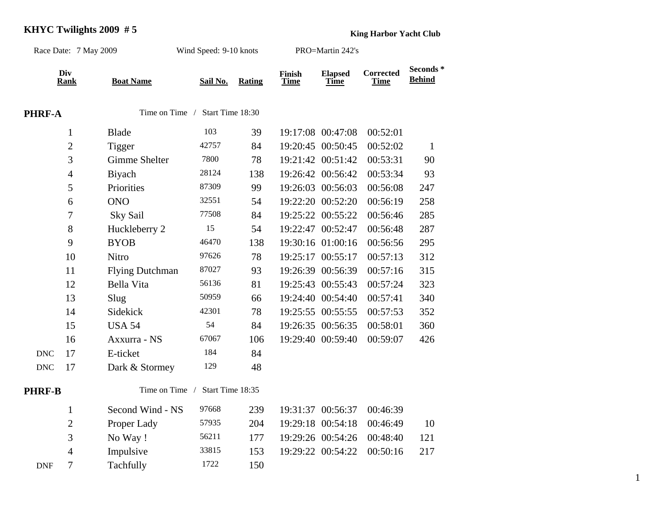## **KHYC Twilights 2009 # 5 King Harbor Yacht Club**

| Race Date: 7 May 2009 |                    |                        | Wind Speed: 9-10 knots |        | PRO=Martin 242's             |                               |                          |                            |
|-----------------------|--------------------|------------------------|------------------------|--------|------------------------------|-------------------------------|--------------------------|----------------------------|
|                       | Div<br><b>Rank</b> | <b>Boat Name</b>       | Sail No.               | Rating | <b>Finish</b><br><b>Time</b> | <b>Elapsed</b><br><b>Time</b> | <b>Corrected</b><br>Time | Seconds *<br><b>Behind</b> |
| <b>PHRF-A</b>         |                    | Time on Time /         | Start Time 18:30       |        |                              |                               |                          |                            |
|                       | $\mathbf{1}$       | <b>Blade</b>           | 103                    | 39     |                              | 19:17:08 00:47:08             | 00:52:01                 |                            |
|                       | $\overline{2}$     | Tigger                 | 42757                  | 84     |                              | 19:20:45 00:50:45             | 00:52:02                 | $\mathbf{1}$               |
|                       | 3                  | <b>Gimme Shelter</b>   | 7800                   | 78     |                              | 19:21:42 00:51:42             | 00:53:31                 | 90                         |
|                       | $\overline{4}$     | Biyach                 | 28124                  | 138    |                              | 19:26:42 00:56:42             | 00:53:34                 | 93                         |
|                       | 5                  | Priorities             | 87309                  | 99     |                              | 19:26:03 00:56:03             | 00:56:08                 | 247                        |
|                       | 6                  | <b>ONO</b>             | 32551                  | 54     |                              | 19:22:20 00:52:20             | 00:56:19                 | 258                        |
|                       | $\tau$             | Sky Sail               | 77508                  | 84     |                              | 19:25:22 00:55:22             | 00:56:46                 | 285                        |
|                       | 8                  | Huckleberry 2          | 15                     | 54     |                              | 19:22:47 00:52:47             | 00:56:48                 | 287                        |
|                       | 9                  | <b>BYOB</b>            | 46470                  | 138    |                              | 19:30:16 01:00:16             | 00:56:56                 | 295                        |
|                       | 10                 | Nitro                  | 97626                  | 78     |                              | 19:25:17 00:55:17             | 00:57:13                 | 312                        |
|                       | 11                 | <b>Flying Dutchman</b> | 87027                  | 93     |                              | 19:26:39 00:56:39             | 00:57:16                 | 315                        |
|                       | 12                 | Bella Vita             | 56136                  | 81     |                              | 19:25:43 00:55:43             | 00:57:24                 | 323                        |
|                       | 13                 | Slug                   | 50959                  | 66     |                              | 19:24:40 00:54:40             | 00:57:41                 | 340                        |
|                       | 14                 | Sidekick               | 42301                  | 78     |                              | 19:25:55 00:55:55             | 00:57:53                 | 352                        |
|                       | 15                 | <b>USA 54</b>          | 54                     | 84     |                              | 19:26:35 00:56:35             | 00:58:01                 | 360                        |
|                       | 16                 | Axxurra - NS           | 67067                  | 106    |                              | 19:29:40 00:59:40             | 00:59:07                 | 426                        |
| <b>DNC</b>            | 17                 | E-ticket               | 184                    | 84     |                              |                               |                          |                            |
| <b>DNC</b>            | 17                 | Dark & Stormey         | 129                    | 48     |                              |                               |                          |                            |
| <b>PHRF-B</b>         |                    | Time on Time /         | Start Time 18:35       |        |                              |                               |                          |                            |
|                       | $\mathbf{1}$       | Second Wind - NS       | 97668                  | 239    |                              | 19:31:37 00:56:37             | 00:46:39                 |                            |
|                       | $\overline{2}$     | Proper Lady            | 57935                  | 204    |                              | 19:29:18 00:54:18             | 00:46:49                 | 10                         |
|                       | 3                  | No Way!                | 56211                  | 177    |                              | 19:29:26 00:54:26             | 00:48:40                 | 121                        |
|                       | $\overline{4}$     | Impulsive              | 33815                  | 153    |                              | 19:29:22 00:54:22             | 00:50:16                 | 217                        |
| <b>DNF</b>            | 7                  | Tachfully              | 1722                   | 150    |                              |                               |                          |                            |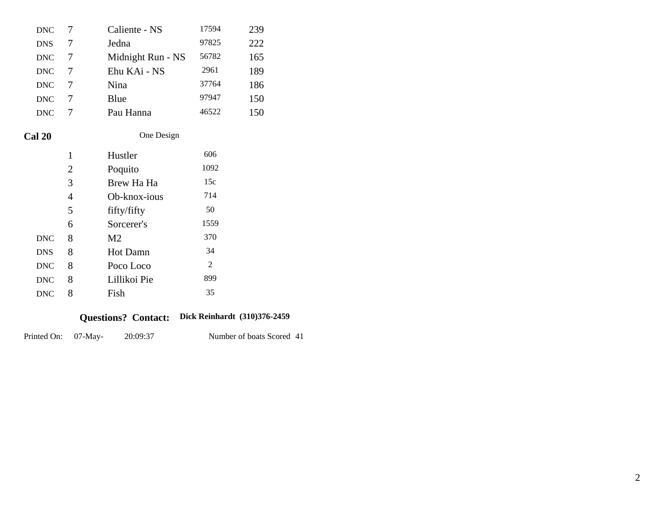| Printed On: | $07-Mav-$      | 20:09:37                   |                        | Number of boats |
|-------------|----------------|----------------------------|------------------------|-----------------|
|             |                | <b>Questions? Contact:</b> | Dick Reinhardt (310)37 |                 |
| <b>DNC</b>  | 8              | Fish                       | 35                     |                 |
| <b>DNC</b>  | 8              | Lillikoi Pie               | 899                    |                 |
| <b>DNC</b>  | 8              | Poco Loco                  | $\overline{2}$         |                 |
| <b>DNS</b>  | 8              | <b>Hot Damn</b>            | 34                     |                 |
| <b>DNC</b>  | 8              | M <sub>2</sub>             | 370                    |                 |
|             | 6              | Sorcerer's                 | 1559                   |                 |
|             | 5              | fifty/fifty                | 50                     |                 |
|             | $\overline{4}$ | Ob-knox-ious               | 714                    |                 |
|             | 3              | Brew Ha Ha                 | 15c                    |                 |
|             | $\overline{2}$ | Poquito                    | 1092                   |                 |
|             | 1              | Hustler                    | 606                    |                 |
| Cal 20      |                | One Design                 |                        |                 |
| <b>DNC</b>  | 7              | Pau Hanna                  | 46522                  | 150             |
| <b>DNC</b>  | 7              | Blue                       | 97947                  | 150             |
| <b>DNC</b>  | 7              | Nina                       | 37764                  | 186             |
| <b>DNC</b>  | 7              | Ehu KAi - NS               | 2961                   | 189             |
| <b>DNC</b>  | 7              | Midnight Run - NS          | 56782                  | 165             |
| <b>DNS</b>  | $\tau$         | Jedna                      | 97825                  | 222             |
| <b>DNC</b>  | 7              | Caliente - NS              | 17594                  | 239             |

## **Dick Reinhardt (310)376-2459 Questions? Contact:**

Number of boats Scored 41 20:09:37 Printed On: 07-May-